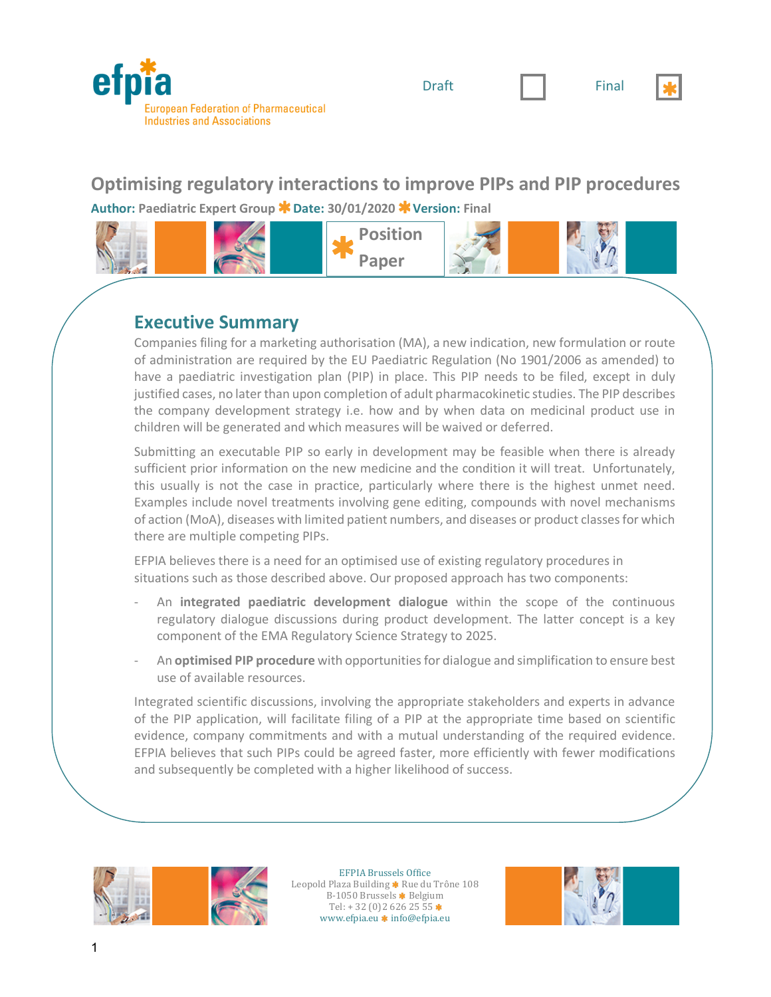

Draft  $\|\cdot\|$  Final



### **Optimising regulatory interactions to improve PIPs and PIP procedures Author: Paediatric Expert Group Date: 30/01/2020 Version: Final**



#### **Executive Summary**

Companies filing for a marketing authorisation (MA), a new indication, new formulation or route of administration are required by the EU Paediatric Regulation (No 1901/2006 as amended) to have a paediatric investigation plan (PIP) in place. This PIP needs to be filed, except in duly justified cases, no later than upon completion of adult pharmacokinetic studies. The PIP describes the company development strategy i.e. how and by when data on medicinal product use in children will be generated and which measures will be waived or deferred.

Submitting an executable PIP so early in development may be feasible when there is already sufficient prior information on the new medicine and the condition it will treat. Unfortunately, this usually is not the case in practice, particularly where there is the highest unmet need. Examples include novel treatments involving gene editing, compounds with novel mechanisms of action (MoA), diseases with limited patient numbers, and diseases or product classes for which there are multiple competing PIPs.

EFPIA believes there is a need for an optimised use of existing regulatory procedures in situations such as those described above. Our proposed approach has two components:

- An **integrated paediatric development dialogue** within the scope of the continuous regulatory dialogue discussions during product development. The latter concept is a key component of the EMA Regulatory Science Strategy to 2025.
- An **optimised PIP procedure** with opportunities for dialogue and simplification to ensure best use of available resources.

Integrated scientific discussions, involving the appropriate stakeholders and experts in advance of the PIP application, will facilitate filing of a PIP at the appropriate time based on scientific evidence, company commitments and with a mutual understanding of the required evidence. EFPIA believes that such PIPs could be agreed faster, more efficiently with fewer modifications and subsequently be completed with a higher likelihood of success.



EFPIA Brussels Office Leopold Plaza Building \* Rue du Trône 108 B-1050 Brussels \* Belgium Tel:  $+32(0)26262555*$ www.efpia.eu \* info@efpia.eu

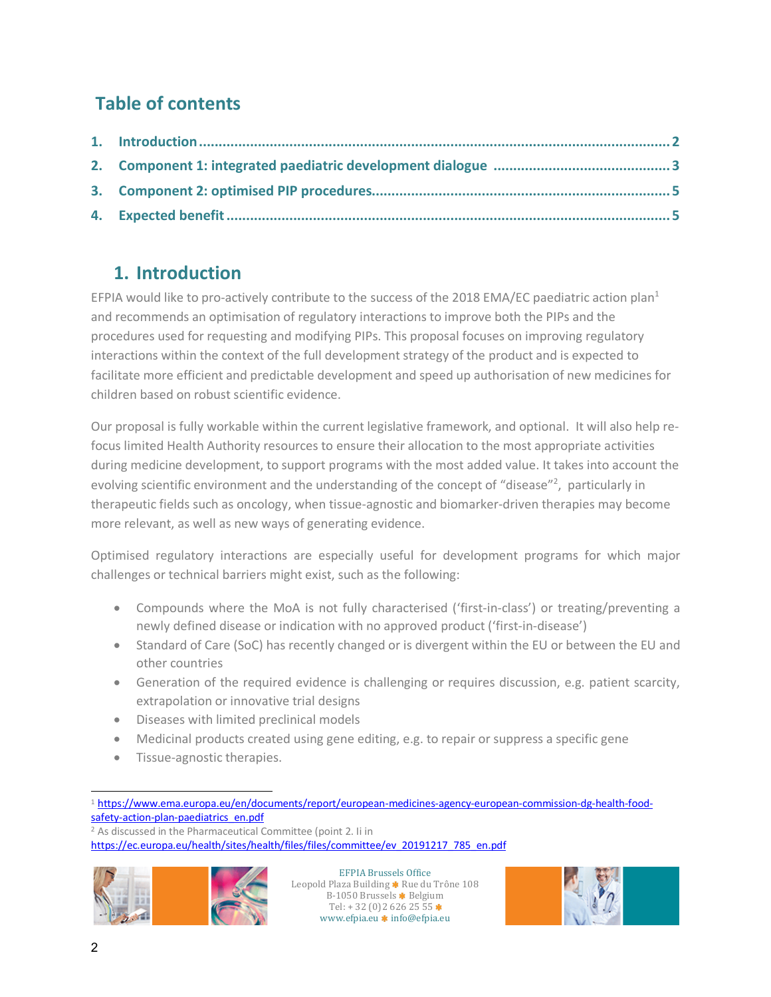# **Table of contents**

## **1. Introduction**

EFPIA would like to pro-actively contribute to the success of the 2018 EMA/EC paediatric action plan<sup>1</sup> and recommends an optimisation of regulatory interactions to improve both the PIPs and the procedures used for requesting and modifying PIPs. This proposal focuses on improving regulatory interactions within the context of the full development strategy of the product and is expected to facilitate more efficient and predictable development and speed up authorisation of new medicines for children based on robust scientific evidence.

Our proposal is fully workable within the current legislative framework, and optional. It will also help refocus limited Health Authority resources to ensure their allocation to the most appropriate activities during medicine development, to support programs with the most added value. It takes into account the evolving scientific environment and the understanding of the concept of "disease"<sup>2</sup>, particularly in therapeutic fields such as oncology, when tissue-agnostic and biomarker-driven therapies may become more relevant, as well as new ways of generating evidence.

Optimised regulatory interactions are especially useful for development programs for which major challenges or technical barriers might exist, such as the following:

- Compounds where the MoA is not fully characterised ('first-in-class') or treating/preventing a newly defined disease or indication with no approved product ('first-in-disease')
- Standard of Care (SoC) has recently changed or is divergent within the EU or between the EU and other countries
- Generation of the required evidence is challenging or requires discussion, e.g. patient scarcity, extrapolation or innovative trial designs
- Diseases with limited preclinical models
- Medicinal products created using gene editing, e.g. to repair or suppress a specific gene
- Tissue-agnostic therapies.

<sup>2</sup> As discussed in the Pharmaceutical Committee (point 2. Ii in https://ec.europa.eu/health/sites/health/files/files/committee/ev\_20191217\_785\_en.pdf



EFPIA Brussels Office Leopold Plaza Building \* Rue du Trône 108 B-1050 Brussels \* Belgium Tel:  $+32(0)26262555*$ www.efpia.eu $\pmb{\ast}$  info@efpia.eu



l <sup>1</sup> https://www.ema.europa.eu/en/documents/report/european-medicines-agency-european-commission-dg-health-foodsafety-action-plan-paediatrics\_en.pdf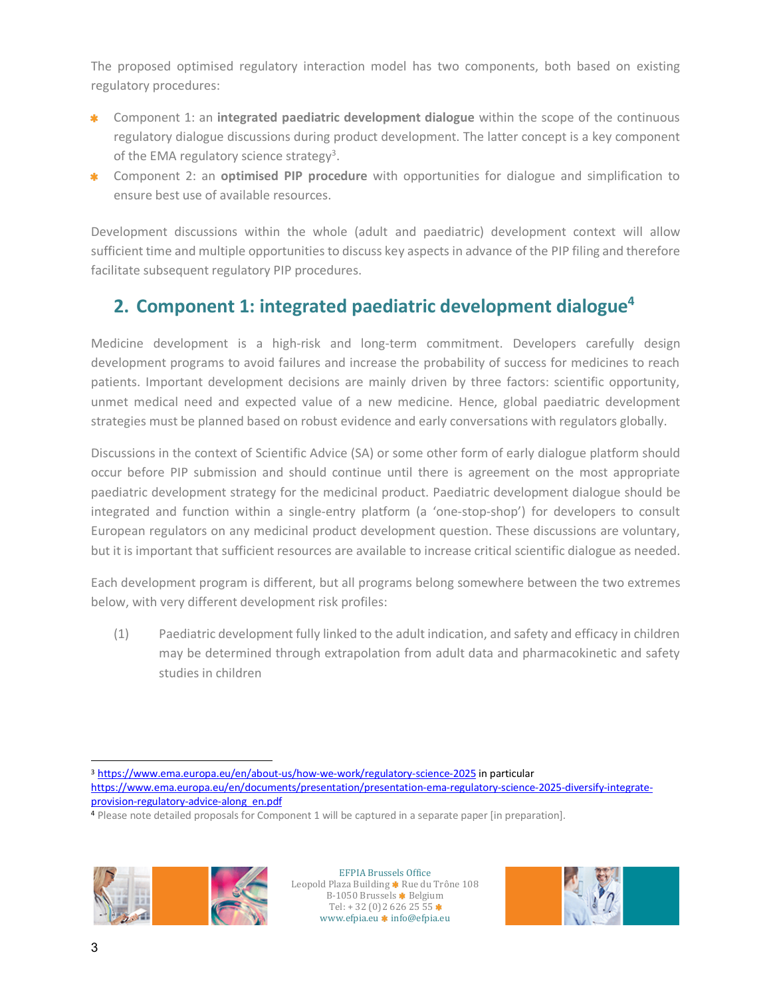The proposed optimised regulatory interaction model has two components, both based on existing regulatory procedures:

- Component 1: an **integrated paediatric development dialogue** within the scope of the continuous 业 regulatory dialogue discussions during product development. The latter concept is a key component of the EMA regulatory science strategy<sup>3</sup>.
- Component 2: an **optimised PIP procedure** with opportunities for dialogue and simplification to ensure best use of available resources.

Development discussions within the whole (adult and paediatric) development context will allow sufficient time and multiple opportunities to discuss key aspects in advance of the PIP filing and therefore facilitate subsequent regulatory PIP procedures.

## **2. Component 1: integrated paediatric development dialogue4**

Medicine development is a high-risk and long-term commitment. Developers carefully design development programs to avoid failures and increase the probability of success for medicines to reach patients. Important development decisions are mainly driven by three factors: scientific opportunity, unmet medical need and expected value of a new medicine. Hence, global paediatric development strategies must be planned based on robust evidence and early conversations with regulators globally.

Discussions in the context of Scientific Advice (SA) or some other form of early dialogue platform should occur before PIP submission and should continue until there is agreement on the most appropriate paediatric development strategy for the medicinal product. Paediatric development dialogue should be integrated and function within a single-entry platform (a 'one-stop-shop') for developers to consult European regulators on any medicinal product development question. These discussions are voluntary, but it is important that sufficient resources are available to increase critical scientific dialogue as needed.

Each development program is different, but all programs belong somewhere between the two extremes below, with very different development risk profiles:

(1) Paediatric development fully linked to the adult indication, and safety and efficacy in children may be determined through extrapolation from adult data and pharmacokinetic and safety studies in children

<sup>4</sup> Please note detailed proposals for Component 1 will be captured in a separate paper [in preparation].



EFPIA Brussels Office Leopold Plaza Building \* Rue du Trône 108 B-1050 Brussels \* Belgium Tel:  $+32(0)26262555*$ www.efpia.eu \* info@efpia.eu



l <sup>3</sup> https://www.ema.europa.eu/en/about-us/how-we-work/regulatory-science-2025 in particular https://www.ema.europa.eu/en/documents/presentation/presentation-ema-regulatory-science-2025-diversify-integrateprovision-regulatory-advice-along\_en.pdf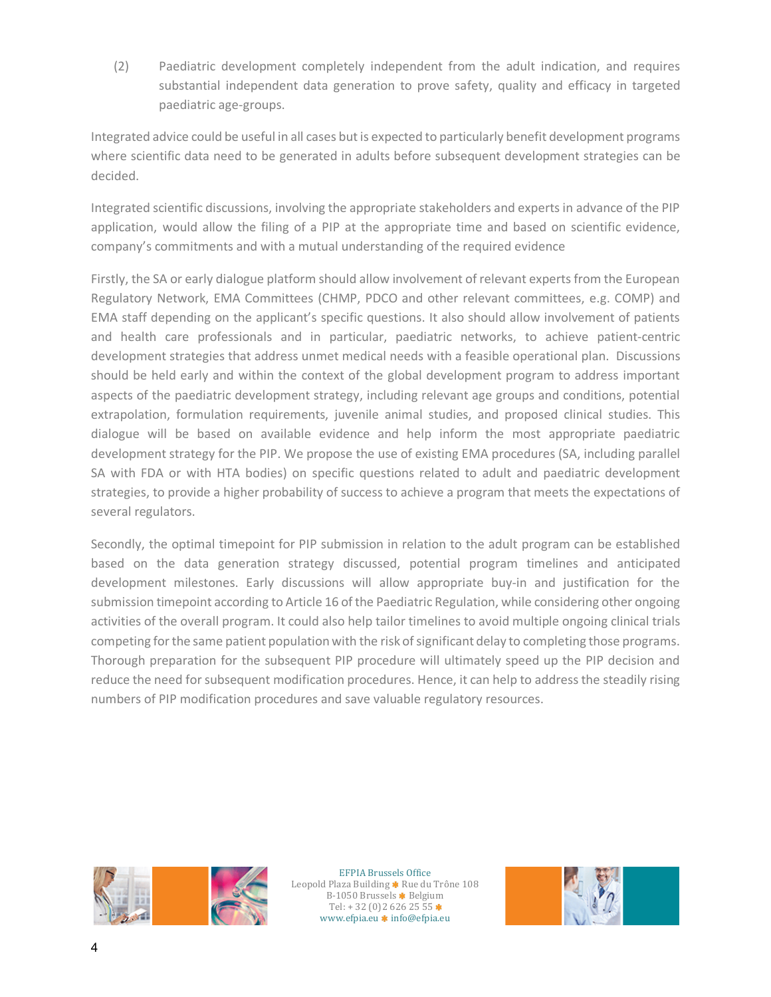(2) Paediatric development completely independent from the adult indication, and requires substantial independent data generation to prove safety, quality and efficacy in targeted paediatric age-groups.

Integrated advice could be useful in all cases butis expected to particularly benefit development programs where scientific data need to be generated in adults before subsequent development strategies can be decided.

Integrated scientific discussions, involving the appropriate stakeholders and experts in advance of the PIP application, would allow the filing of a PIP at the appropriate time and based on scientific evidence, company's commitments and with a mutual understanding of the required evidence

Firstly, the SA or early dialogue platform should allow involvement of relevant experts from the European Regulatory Network, EMA Committees (CHMP, PDCO and other relevant committees, e.g. COMP) and EMA staff depending on the applicant's specific questions. It also should allow involvement of patients and health care professionals and in particular, paediatric networks, to achieve patient-centric development strategies that address unmet medical needs with a feasible operational plan. Discussions should be held early and within the context of the global development program to address important aspects of the paediatric development strategy, including relevant age groups and conditions, potential extrapolation, formulation requirements, juvenile animal studies, and proposed clinical studies. This dialogue will be based on available evidence and help inform the most appropriate paediatric development strategy for the PIP. We propose the use of existing EMA procedures (SA, including parallel SA with FDA or with HTA bodies) on specific questions related to adult and paediatric development strategies, to provide a higher probability of success to achieve a program that meets the expectations of several regulators.

Secondly, the optimal timepoint for PIP submission in relation to the adult program can be established based on the data generation strategy discussed, potential program timelines and anticipated development milestones. Early discussions will allow appropriate buy-in and justification for the submission timepoint according to Article 16 of the Paediatric Regulation, while considering other ongoing activities of the overall program. It could also help tailor timelines to avoid multiple ongoing clinical trials competing for the same patient population with the risk of significant delay to completing those programs. Thorough preparation for the subsequent PIP procedure will ultimately speed up the PIP decision and reduce the need for subsequent modification procedures. Hence, it can help to address the steadily rising numbers of PIP modification procedures and save valuable regulatory resources.



EFPIA Brussels Office Leopold Plaza Building \* Rue du Trône 108 B-1050 Brussels \* Belgium Tel:  $+32(0)26262555*$ www.efpia.eu \* info@efpia.eu

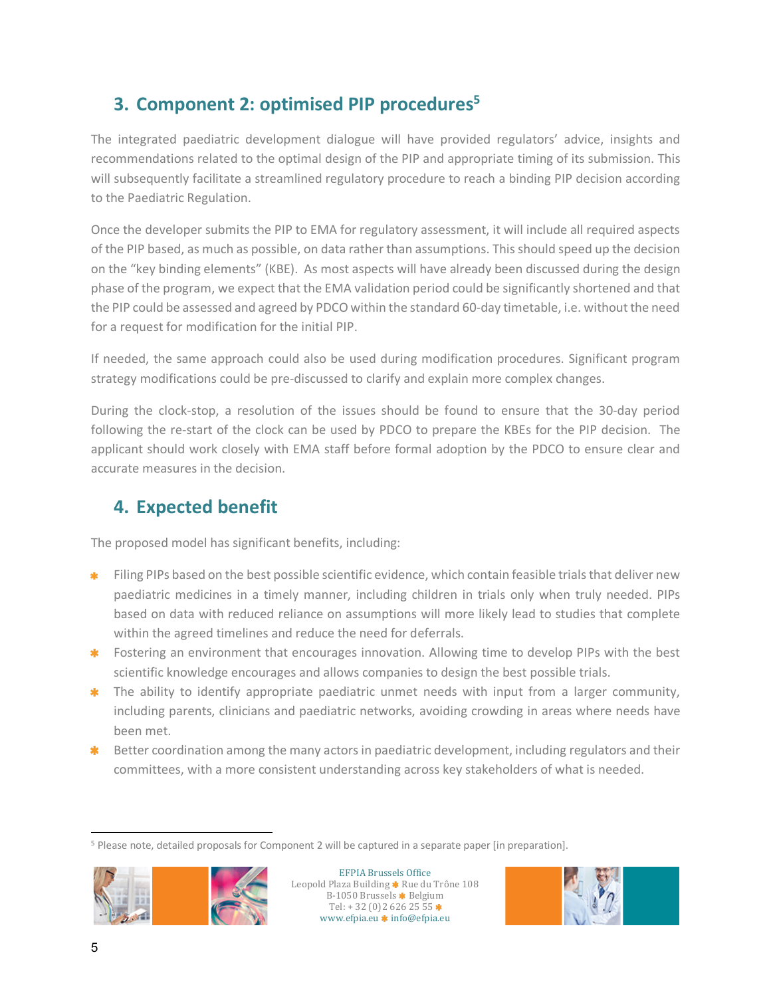## **3. Component 2: optimised PIP procedures5**

The integrated paediatric development dialogue will have provided regulators' advice, insights and recommendations related to the optimal design of the PIP and appropriate timing of its submission. This will subsequently facilitate a streamlined regulatory procedure to reach a binding PIP decision according to the Paediatric Regulation.

Once the developer submits the PIP to EMA for regulatory assessment, it will include all required aspects of the PIP based, as much as possible, on data rather than assumptions. This should speed up the decision on the "key binding elements" (KBE). As most aspects will have already been discussed during the design phase of the program, we expect that the EMA validation period could be significantly shortened and that the PIP could be assessed and agreed by PDCO within the standard 60-day timetable, i.e. without the need for a request for modification for the initial PIP.

If needed, the same approach could also be used during modification procedures. Significant program strategy modifications could be pre-discussed to clarify and explain more complex changes.

During the clock-stop, a resolution of the issues should be found to ensure that the 30-day period following the re-start of the clock can be used by PDCO to prepare the KBEs for the PIP decision. The applicant should work closely with EMA staff before formal adoption by the PDCO to ensure clear and accurate measures in the decision.

## **4. Expected benefit**

The proposed model has significant benefits, including:

- Filing PIPs based on the best possible scientific evidence, which contain feasible trials that deliver new paediatric medicines in a timely manner, including children in trials only when truly needed. PIPs based on data with reduced reliance on assumptions will more likely lead to studies that complete within the agreed timelines and reduce the need for deferrals.
- \* Fostering an environment that encourages innovation. Allowing time to develop PIPs with the best scientific knowledge encourages and allows companies to design the best possible trials.
- \* The ability to identify appropriate paediatric unmet needs with input from a larger community, including parents, clinicians and paediatric networks, avoiding crowding in areas where needs have been met.
- \* Better coordination among the many actors in paediatric development, including regulators and their committees, with a more consistent understanding across key stakeholders of what is needed.

<sup>5</sup> Please note, detailed proposals for Component 2 will be captured in a separate paper [in preparation].



EFPIA Brussels Office Leopold Plaza Building \* Rue du Trône 108 B-1050 Brussels \* Belgium Tel:  $+32(0)26262555*$ www.efpia.eu \* info@efpia.eu



l